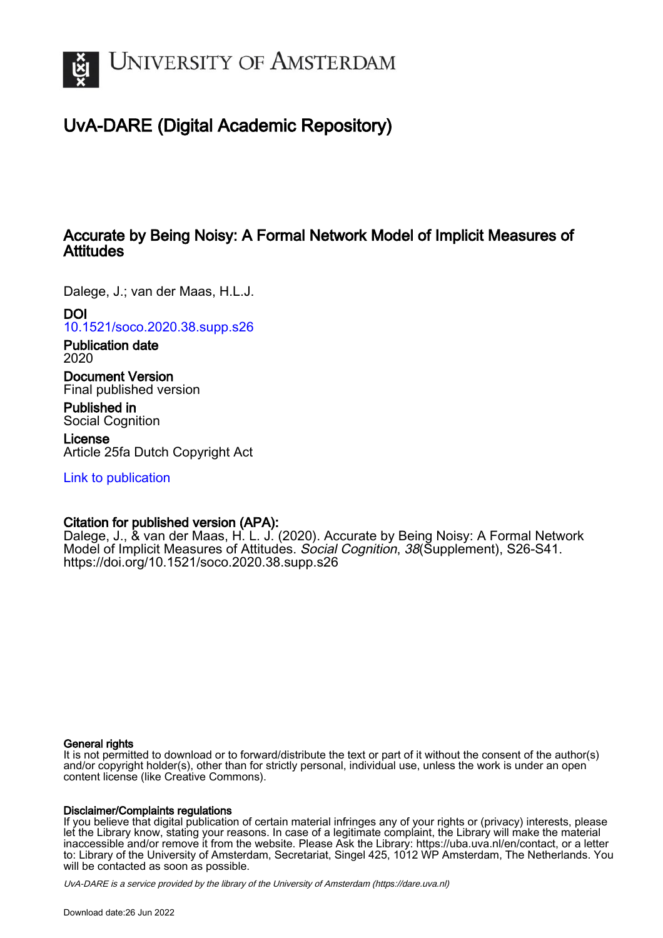

# UvA-DARE (Digital Academic Repository)

## Accurate by Being Noisy: A Formal Network Model of Implicit Measures of **Attitudes**

Dalege, J.; van der Maas, H.L.J.

DOI

[10.1521/soco.2020.38.supp.s26](https://doi.org/10.1521/soco.2020.38.supp.s26)

Publication date 2020

Document Version Final published version

Published in Social Cognition

License Article 25fa Dutch Copyright Act

[Link to publication](https://dare.uva.nl/personal/pure/en/publications/accurate-by-being-noisy-a-formal-network-model-of-implicit-measures-of-attitudes(39a87e70-7f27-49f5-87ff-00ab0f630096).html)

### Citation for published version (APA):

Dalege, J., & van der Maas, H. L. J. (2020). Accurate by Being Noisy: A Formal Network Model of Implicit Measures of Attitudes. Social Cognition, 38 (Supplement), S26-S41. <https://doi.org/10.1521/soco.2020.38.supp.s26>

### General rights

It is not permitted to download or to forward/distribute the text or part of it without the consent of the author(s) and/or copyright holder(s), other than for strictly personal, individual use, unless the work is under an open content license (like Creative Commons).

### Disclaimer/Complaints regulations

If you believe that digital publication of certain material infringes any of your rights or (privacy) interests, please let the Library know, stating your reasons. In case of a legitimate complaint, the Library will make the material inaccessible and/or remove it from the website. Please Ask the Library: https://uba.uva.nl/en/contact, or a letter to: Library of the University of Amsterdam, Secretariat, Singel 425, 1012 WP Amsterdam, The Netherlands. You will be contacted as soon as possible.

UvA-DARE is a service provided by the library of the University of Amsterdam (http*s*://dare.uva.nl)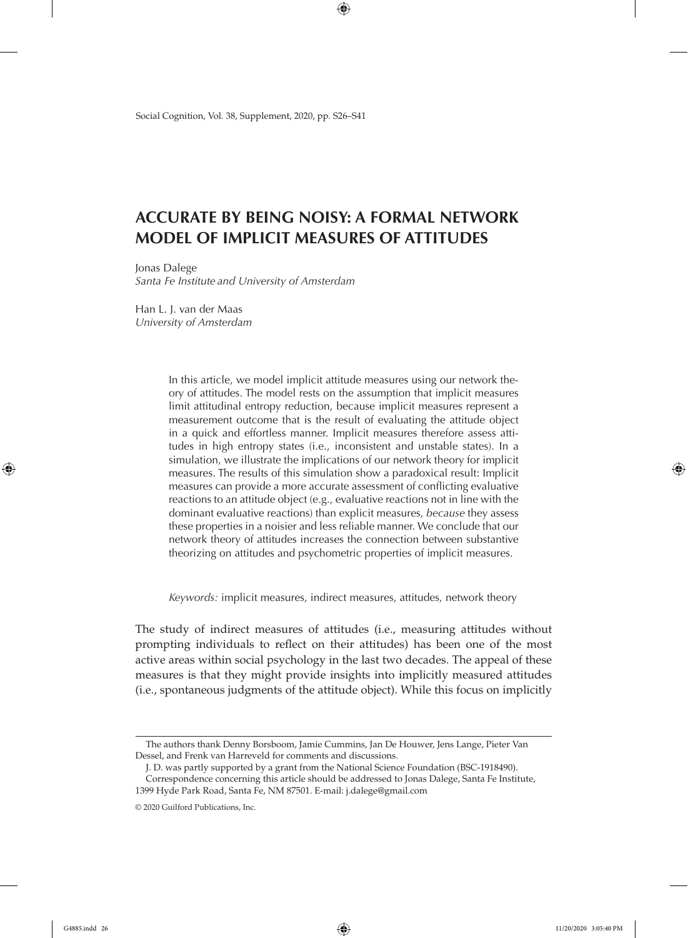## **ACCURATE BY BEING NOISY: A FORMAL NETWORK MODEL OF IMPLICIT MEASURES OF ATTITUDES**

Jonas Dalege *Santa Fe Institute and University of Amsterdam*

Han L. J. van der Maas *University of Amsterdam*

> In this article, we model implicit attitude measures using our network theory of attitudes. The model rests on the assumption that implicit measures limit attitudinal entropy reduction, because implicit measures represent a measurement outcome that is the result of evaluating the attitude object in a quick and effortless manner. Implicit measures therefore assess attitudes in high entropy states (i.e., inconsistent and unstable states). In a simulation, we illustrate the implications of our network theory for implicit measures. The results of this simulation show a paradoxical result: Implicit measures can provide a more accurate assessment of conflicting evaluative reactions to an attitude object (e.g., evaluative reactions not in line with the dominant evaluative reactions) than explicit measures, *because* they assess these properties in a noisier and less reliable manner. We conclude that our network theory of attitudes increases the connection between substantive theorizing on attitudes and psychometric properties of implicit measures.

> *Keywords:* implicit measures, indirect measures, attitudes, network theory

The study of indirect measures of attitudes (i.e., measuring attitudes without prompting individuals to reflect on their attitudes) has been one of the most active areas within social psychology in the last two decades. The appeal of these measures is that they might provide insights into implicitly measured attitudes (i.e., spontaneous judgments of the attitude object). While this focus on implicitly

The authors thank Denny Borsboom, Jamie Cummins, Jan De Houwer, Jens Lange, Pieter Van Dessel, and Frenk van Harreveld for comments and discussions.

J. D. was partly supported by a grant from the National Science Foundation (BSC-1918490).

Correspondence concerning this article should be addressed to Jonas Dalege, Santa Fe Institute, 1399 Hyde Park Road, Santa Fe, NM 87501. E-mail: j.dalege@gmail.com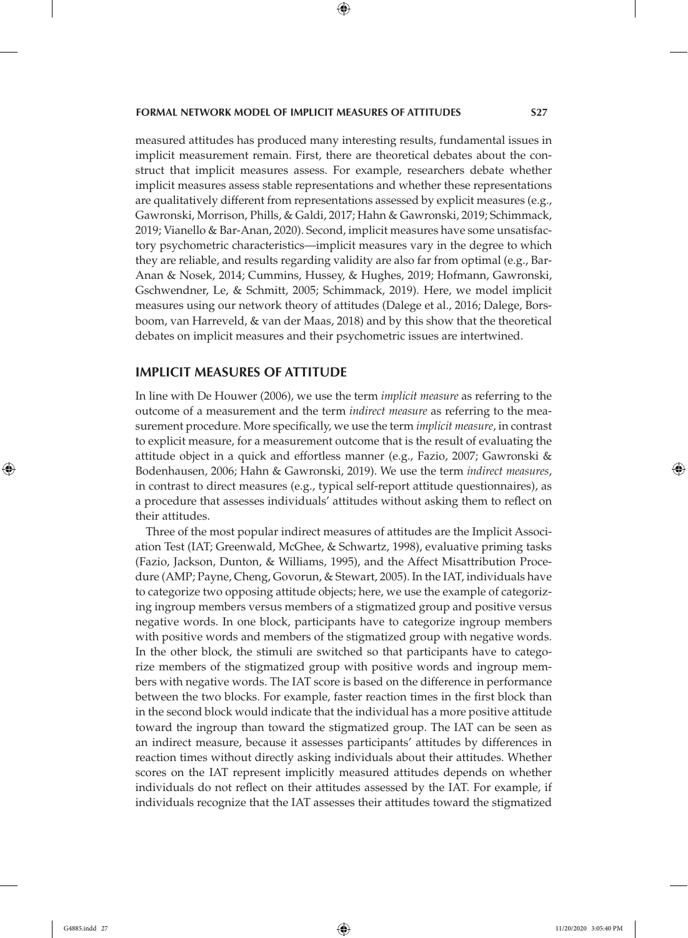measured attitudes has produced many interesting results, fundamental issues in implicit measurement remain. First, there are theoretical debates about the construct that implicit measures assess. For example, researchers debate whether implicit measures assess stable representations and whether these representations are qualitatively different from representations assessed by explicit measures (e.g., Gawronski, Morrison, Phills, & Galdi, 2017; Hahn & Gawronski, 2019; Schimmack, 2019; Vianello & Bar-Anan, 2020). Second, implicit measures have some unsatisfactory psychometric characteristics—implicit measures vary in the degree to which they are reliable, and results regarding validity are also far from optimal (e.g., Bar-Anan & Nosek, 2014; Cummins, Hussey, & Hughes, 2019; Hofmann, Gawronski, Gschwendner, Le, & Schmitt, 2005; Schimmack, 2019). Here, we model implicit measures using our network theory of attitudes (Dalege et al., 2016; Dalege, Borsboom, van Harreveld, & van der Maas, 2018) and by this show that the theoretical debates on implicit measures and their psychometric issues are intertwined.

### **IMPLICIT MEASURES OF ATTITUDE**

In line with De Houwer (2006), we use the term *implicit measure* as referring to the outcome of a measurement and the term *indirect measure* as referring to the measurement procedure. More specifically, we use the term *implicit measure*, in contrast to explicit measure, for a measurement outcome that is the result of evaluating the attitude object in a quick and effortless manner (e.g., Fazio, 2007; Gawronski & Bodenhausen, 2006; Hahn & Gawronski, 2019). We use the term *indirect measures*, in contrast to direct measures (e.g., typical self-report attitude questionnaires), as a procedure that assesses individuals' attitudes without asking them to reflect on their attitudes.

Three of the most popular indirect measures of attitudes are the Implicit Association Test (IAT; Greenwald, McGhee, & Schwartz, 1998), evaluative priming tasks (Fazio, Jackson, Dunton, & Williams, 1995), and the Affect Misattribution Procedure (AMP; Payne, Cheng, Govorun, & Stewart, 2005). In the IAT, individuals have to categorize two opposing attitude objects; here, we use the example of categorizing ingroup members versus members of a stigmatized group and positive versus negative words. In one block, participants have to categorize ingroup members with positive words and members of the stigmatized group with negative words. In the other block, the stimuli are switched so that participants have to categorize members of the stigmatized group with positive words and ingroup members with negative words. The IAT score is based on the difference in performance between the two blocks. For example, faster reaction times in the first block than in the second block would indicate that the individual has a more positive attitude toward the ingroup than toward the stigmatized group. The IAT can be seen as an indirect measure, because it assesses participants' attitudes by differences in reaction times without directly asking individuals about their attitudes. Whether scores on the IAT represent implicitly measured attitudes depends on whether individuals do not reflect on their attitudes assessed by the IAT. For example, if individuals recognize that the IAT assesses their attitudes toward the stigmatized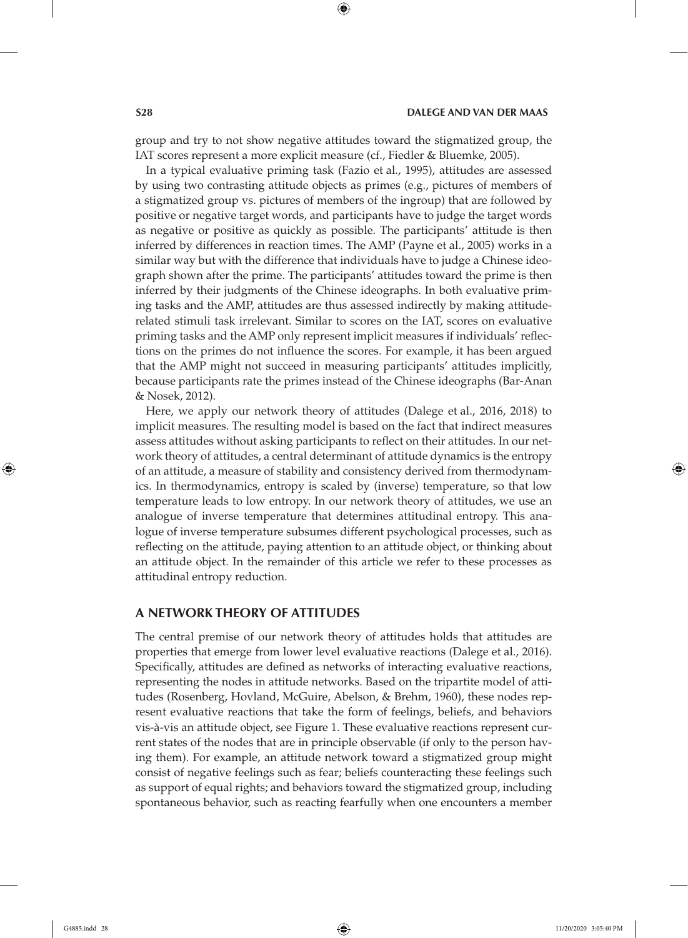group and try to not show negative attitudes toward the stigmatized group, the IAT scores represent a more explicit measure (cf., Fiedler & Bluemke, 2005).

In a typical evaluative priming task (Fazio et al., 1995), attitudes are assessed by using two contrasting attitude objects as primes (e.g., pictures of members of a stigmatized group vs. pictures of members of the ingroup) that are followed by positive or negative target words, and participants have to judge the target words as negative or positive as quickly as possible. The participants' attitude is then inferred by differences in reaction times. The AMP (Payne et al., 2005) works in a similar way but with the difference that individuals have to judge a Chinese ideograph shown after the prime. The participants' attitudes toward the prime is then inferred by their judgments of the Chinese ideographs. In both evaluative priming tasks and the AMP, attitudes are thus assessed indirectly by making attituderelated stimuli task irrelevant. Similar to scores on the IAT, scores on evaluative priming tasks and the AMP only represent implicit measures if individuals' reflections on the primes do not influence the scores. For example, it has been argued that the AMP might not succeed in measuring participants' attitudes implicitly, because participants rate the primes instead of the Chinese ideographs (Bar-Anan & Nosek, 2012).

Here, we apply our network theory of attitudes (Dalege et al., 2016, 2018) to implicit measures. The resulting model is based on the fact that indirect measures assess attitudes without asking participants to reflect on their attitudes. In our network theory of attitudes, a central determinant of attitude dynamics is the entropy of an attitude, a measure of stability and consistency derived from thermodynamics. In thermodynamics, entropy is scaled by (inverse) temperature, so that low temperature leads to low entropy. In our network theory of attitudes, we use an analogue of inverse temperature that determines attitudinal entropy. This analogue of inverse temperature subsumes different psychological processes, such as reflecting on the attitude, paying attention to an attitude object, or thinking about an attitude object. In the remainder of this article we refer to these processes as attitudinal entropy reduction.

### **A NETWORK THEORY OF ATTITUDES**

The central premise of our network theory of attitudes holds that attitudes are properties that emerge from lower level evaluative reactions (Dalege et al., 2016). Specifically, attitudes are defined as networks of interacting evaluative reactions, representing the nodes in attitude networks. Based on the tripartite model of attitudes (Rosenberg, Hovland, McGuire, Abelson, & Brehm, 1960), these nodes represent evaluative reactions that take the form of feelings, beliefs, and behaviors vis-à-vis an attitude object, see Figure 1. These evaluative reactions represent current states of the nodes that are in principle observable (if only to the person having them). For example, an attitude network toward a stigmatized group might consist of negative feelings such as fear; beliefs counteracting these feelings such as support of equal rights; and behaviors toward the stigmatized group, including spontaneous behavior, such as reacting fearfully when one encounters a member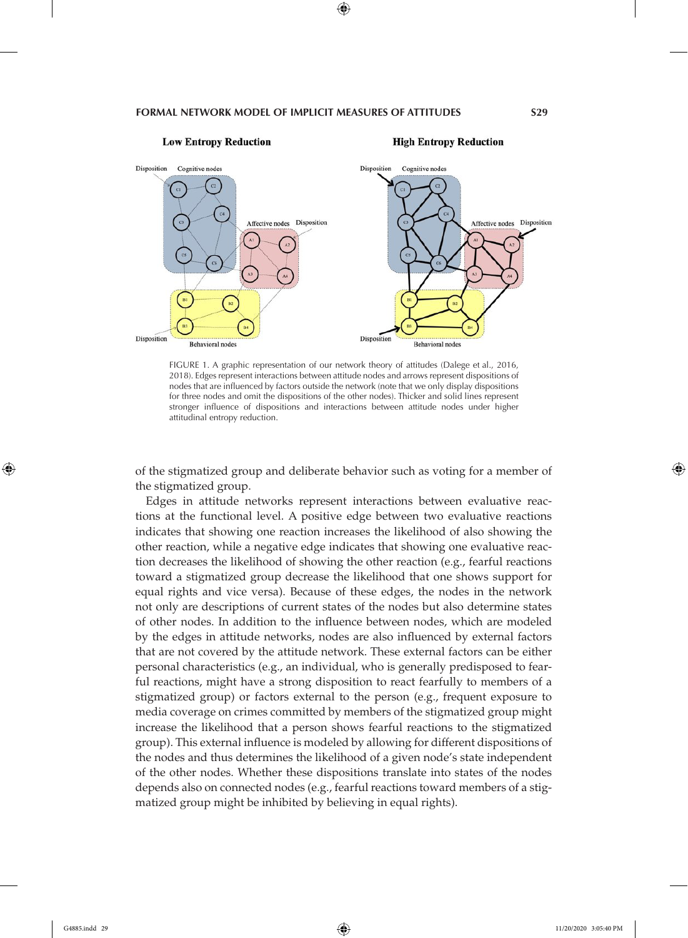

#### **High Entropy Reduction**



FIGURE 1. A graphic representation of our network theory of attitudes (Dalege et al., 2016, 2018). Edges represent interactions between attitude nodes and arrows represent dispositions of nodes that are influenced by factors outside the network (note that we only display dispositions for three nodes and omit the dispositions of the other nodes). Thicker and solid lines represent stronger influence of dispositions and interactions between attitude nodes under higher attitudinal entropy reduction.

of the stigmatized group and deliberate behavior such as voting for a member of the stigmatized group.

Edges in attitude networks represent interactions between evaluative reactions at the functional level. A positive edge between two evaluative reactions indicates that showing one reaction increases the likelihood of also showing the other reaction, while a negative edge indicates that showing one evaluative reaction decreases the likelihood of showing the other reaction (e.g., fearful reactions toward a stigmatized group decrease the likelihood that one shows support for equal rights and vice versa). Because of these edges, the nodes in the network not only are descriptions of current states of the nodes but also determine states of other nodes. In addition to the influence between nodes, which are modeled by the edges in attitude networks, nodes are also influenced by external factors that are not covered by the attitude network. These external factors can be either personal characteristics (e.g., an individual, who is generally predisposed to fearful reactions, might have a strong disposition to react fearfully to members of a stigmatized group) or factors external to the person (e.g., frequent exposure to media coverage on crimes committed by members of the stigmatized group might increase the likelihood that a person shows fearful reactions to the stigmatized group). This external influence is modeled by allowing for different dispositions of the nodes and thus determines the likelihood of a given node's state independent of the other nodes. Whether these dispositions translate into states of the nodes depends also on connected nodes (e.g., fearful reactions toward members of a stigmatized group might be inhibited by believing in equal rights).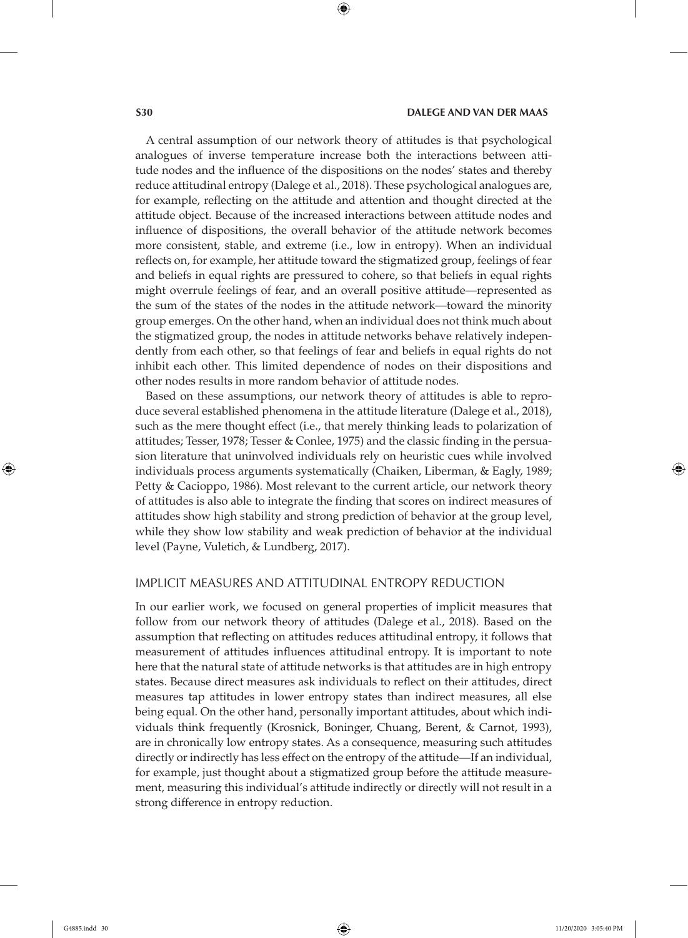A central assumption of our network theory of attitudes is that psychological analogues of inverse temperature increase both the interactions between attitude nodes and the influence of the dispositions on the nodes' states and thereby reduce attitudinal entropy (Dalege et al., 2018). These psychological analogues are, for example, reflecting on the attitude and attention and thought directed at the attitude object. Because of the increased interactions between attitude nodes and influence of dispositions, the overall behavior of the attitude network becomes more consistent, stable, and extreme (i.e., low in entropy). When an individual reflects on, for example, her attitude toward the stigmatized group, feelings of fear and beliefs in equal rights are pressured to cohere, so that beliefs in equal rights might overrule feelings of fear, and an overall positive attitude—represented as the sum of the states of the nodes in the attitude network—toward the minority group emerges. On the other hand, when an individual does not think much about the stigmatized group, the nodes in attitude networks behave relatively independently from each other, so that feelings of fear and beliefs in equal rights do not inhibit each other. This limited dependence of nodes on their dispositions and other nodes results in more random behavior of attitude nodes.

Based on these assumptions, our network theory of attitudes is able to reproduce several established phenomena in the attitude literature (Dalege et al., 2018), such as the mere thought effect (i.e., that merely thinking leads to polarization of attitudes; Tesser, 1978; Tesser & Conlee, 1975) and the classic finding in the persuasion literature that uninvolved individuals rely on heuristic cues while involved individuals process arguments systematically (Chaiken, Liberman, & Eagly, 1989; Petty & Cacioppo, 1986). Most relevant to the current article, our network theory of attitudes is also able to integrate the finding that scores on indirect measures of attitudes show high stability and strong prediction of behavior at the group level, while they show low stability and weak prediction of behavior at the individual level (Payne, Vuletich, & Lundberg, 2017).

#### IMPLICIT MEASURES AND ATTITUDINAL ENTROPY REDUCTION

In our earlier work, we focused on general properties of implicit measures that follow from our network theory of attitudes (Dalege et al., 2018). Based on the assumption that reflecting on attitudes reduces attitudinal entropy, it follows that measurement of attitudes influences attitudinal entropy. It is important to note here that the natural state of attitude networks is that attitudes are in high entropy states. Because direct measures ask individuals to reflect on their attitudes, direct measures tap attitudes in lower entropy states than indirect measures, all else being equal. On the other hand, personally important attitudes, about which individuals think frequently (Krosnick, Boninger, Chuang, Berent, & Carnot, 1993), are in chronically low entropy states. As a consequence, measuring such attitudes directly or indirectly has less effect on the entropy of the attitude—If an individual, for example, just thought about a stigmatized group before the attitude measurement, measuring this individual's attitude indirectly or directly will not result in a strong difference in entropy reduction.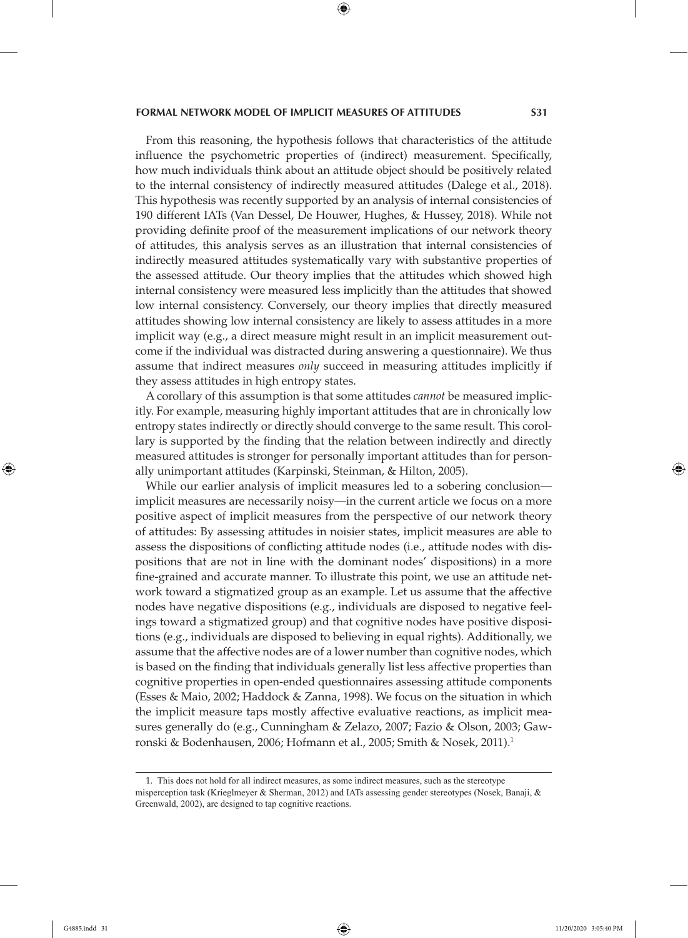From this reasoning, the hypothesis follows that characteristics of the attitude influence the psychometric properties of (indirect) measurement. Specifically, how much individuals think about an attitude object should be positively related to the internal consistency of indirectly measured attitudes (Dalege et al., 2018). This hypothesis was recently supported by an analysis of internal consistencies of 190 different IATs (Van Dessel, De Houwer, Hughes, & Hussey, 2018). While not providing definite proof of the measurement implications of our network theory of attitudes, this analysis serves as an illustration that internal consistencies of indirectly measured attitudes systematically vary with substantive properties of the assessed attitude. Our theory implies that the attitudes which showed high internal consistency were measured less implicitly than the attitudes that showed low internal consistency. Conversely, our theory implies that directly measured attitudes showing low internal consistency are likely to assess attitudes in a more implicit way (e.g., a direct measure might result in an implicit measurement outcome if the individual was distracted during answering a questionnaire). We thus assume that indirect measures *only* succeed in measuring attitudes implicitly if they assess attitudes in high entropy states.

A corollary of this assumption is that some attitudes *cannot* be measured implicitly. For example, measuring highly important attitudes that are in chronically low entropy states indirectly or directly should converge to the same result. This corollary is supported by the finding that the relation between indirectly and directly measured attitudes is stronger for personally important attitudes than for personally unimportant attitudes (Karpinski, Steinman, & Hilton, 2005).

While our earlier analysis of implicit measures led to a sobering conclusion implicit measures are necessarily noisy—in the current article we focus on a more positive aspect of implicit measures from the perspective of our network theory of attitudes: By assessing attitudes in noisier states, implicit measures are able to assess the dispositions of conflicting attitude nodes (i.e., attitude nodes with dispositions that are not in line with the dominant nodes' dispositions) in a more fine-grained and accurate manner. To illustrate this point, we use an attitude network toward a stigmatized group as an example. Let us assume that the affective nodes have negative dispositions (e.g., individuals are disposed to negative feelings toward a stigmatized group) and that cognitive nodes have positive dispositions (e.g., individuals are disposed to believing in equal rights). Additionally, we assume that the affective nodes are of a lower number than cognitive nodes, which is based on the finding that individuals generally list less affective properties than cognitive properties in open-ended questionnaires assessing attitude components (Esses & Maio, 2002; Haddock & Zanna, 1998). We focus on the situation in which the implicit measure taps mostly affective evaluative reactions, as implicit measures generally do (e.g., Cunningham & Zelazo, 2007; Fazio & Olson, 2003; Gawronski & Bodenhausen, 2006; Hofmann et al., 2005; Smith & Nosek, 2011).<sup>1</sup>

<sup>1.</sup> This does not hold for all indirect measures, as some indirect measures, such as the stereotype misperception task (Krieglmeyer & Sherman, 2012) and IATs assessing gender stereotypes (Nosek, Banaji, & Greenwald, 2002), are designed to tap cognitive reactions.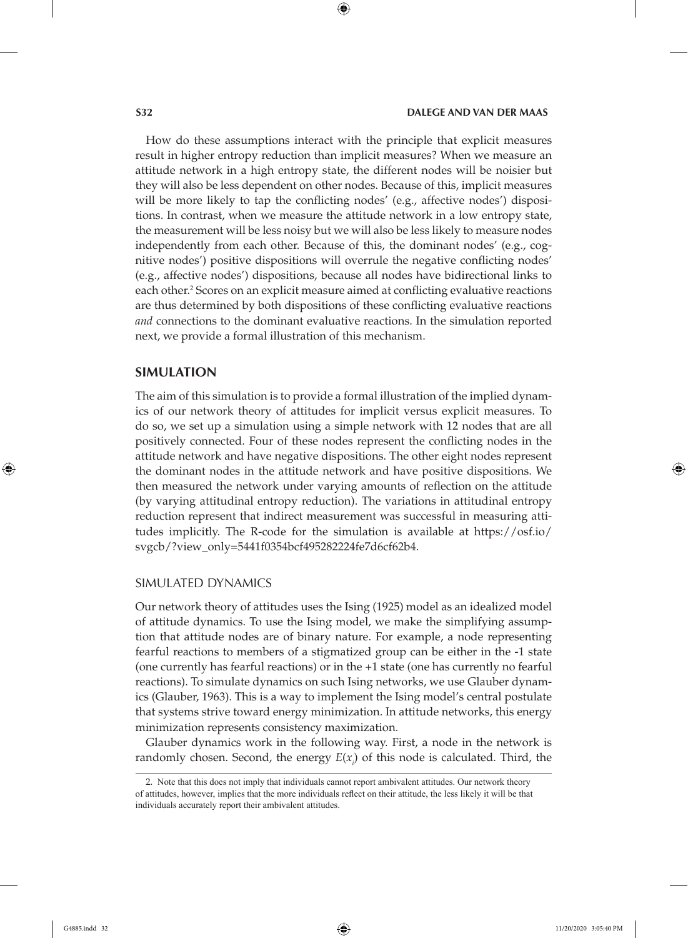How do these assumptions interact with the principle that explicit measures result in higher entropy reduction than implicit measures? When we measure an attitude network in a high entropy state, the different nodes will be noisier but they will also be less dependent on other nodes. Because of this, implicit measures will be more likely to tap the conflicting nodes' (e.g., affective nodes') dispositions. In contrast, when we measure the attitude network in a low entropy state, the measurement will be less noisy but we will also be less likely to measure nodes independently from each other. Because of this, the dominant nodes' (e.g., cognitive nodes') positive dispositions will overrule the negative conflicting nodes' (e.g., affective nodes') dispositions, because all nodes have bidirectional links to each other.<sup>2</sup> Scores on an explicit measure aimed at conflicting evaluative reactions are thus determined by both dispositions of these conflicting evaluative reactions *and* connections to the dominant evaluative reactions. In the simulation reported next, we provide a formal illustration of this mechanism.

#### **SIMULATION**

The aim of this simulation is to provide a formal illustration of the implied dynamics of our network theory of attitudes for implicit versus explicit measures. To do so, we set up a simulation using a simple network with 12 nodes that are all positively connected. Four of these nodes represent the conflicting nodes in the attitude network and have negative dispositions. The other eight nodes represent the dominant nodes in the attitude network and have positive dispositions. We then measured the network under varying amounts of reflection on the attitude (by varying attitudinal entropy reduction). The variations in attitudinal entropy reduction represent that indirect measurement was successful in measuring attitudes implicitly. The R-code for the simulation is available at https://osf.io/ svgcb/?view\_only=5441f0354bcf495282224fe7d6cf62b4.

#### SIMULATED DYNAMICS

Our network theory of attitudes uses the Ising (1925) model as an idealized model of attitude dynamics. To use the Ising model, we make the simplifying assumption that attitude nodes are of binary nature. For example, a node representing fearful reactions to members of a stigmatized group can be either in the -1 state (one currently has fearful reactions) or in the +1 state (one has currently no fearful reactions). To simulate dynamics on such Ising networks, we use Glauber dynamics (Glauber, 1963). This is a way to implement the Ising model's central postulate that systems strive toward energy minimization. In attitude networks, this energy minimization represents consistency maximization.

Glauber dynamics work in the following way. First, a node in the network is randomly chosen. Second, the energy *E*(*xi* ) of this node is calculated. Third, the

<sup>2.</sup> Note that this does not imply that individuals cannot report ambivalent attitudes. Our network theory of attitudes, however, implies that the more individuals reflect on their attitude, the less likely it will be that individuals accurately report their ambivalent attitudes.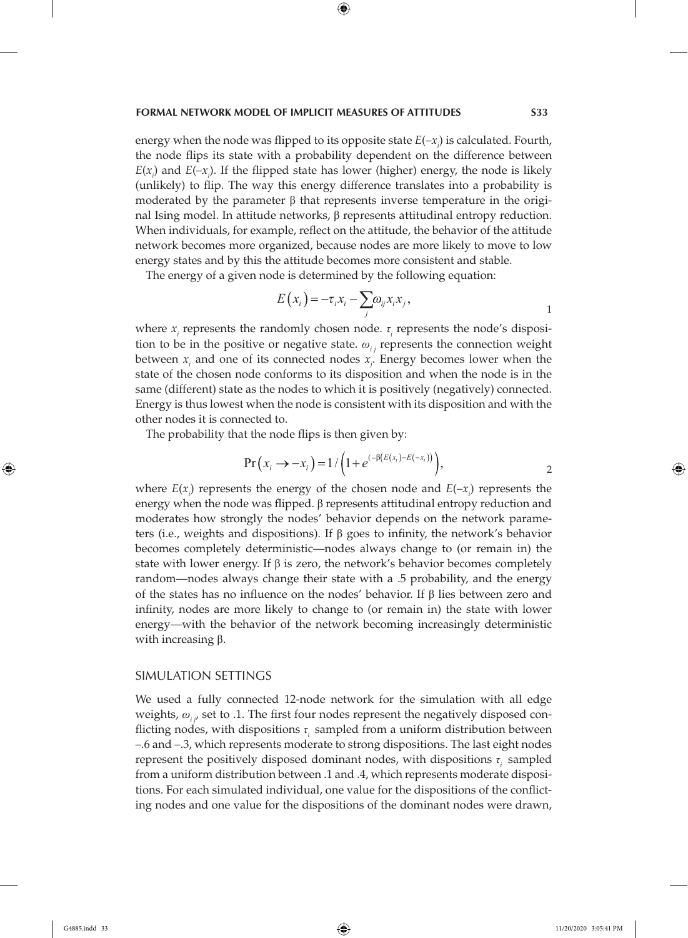energy when the node was flipped to its opposite state  $E(-x_i)$  is calculated. Fourth, the node flips its state with a probability dependent on the difference between  $E(x_i)$  and  $E(-x_i)$ . If the flipped state has lower (higher) energy, the node is likely (unlikely) to flip. The way this energy difference translates into a probability is moderated by the parameter  $\beta$  that represents inverse temperature in the original Ising model. In attitude networks, β represents attitudinal entropy reduction. When individuals, for example, reflect on the attitude, the behavior of the attitude network becomes more organized, because nodes are more likely to move to low energy states and by this the attitude becomes more consistent and stable.

The energy of a given node is determined by the following equation:

$$
E(x_i) = -\tau_i x_i - \sum_j \omega_{ij} x_i x_j,
$$

where *x<sub>i</sub>* represents the randomly chosen node. *τ<sub>i</sub>* represents the node's disposition to be in the positive or negative state.  $\omega_{i,j}$  represents the connection weight between  $x_i$  and one of its connected nodes  $x_j$ . Energy becomes lower when the state of the chosen node conforms to its disposition and when the node is in the same (different) state as the nodes to which it is positively (negatively) connected. Energy is thus lowest when the node is consistent with its disposition and with the other nodes it is connected to.

The probability that the node flips is then given by:

$$
Pr(x_i \to -x_i) = 1 / \left(1 + e^{(-\beta (E(x_i) - E(-x_i)))}\right),
$$

where  $E(x_i)$  represents the energy of the chosen node and  $E(-x_i)$  represents the energy when the node was flipped. β represents attitudinal entropy reduction and moderates how strongly the nodes' behavior depends on the network parameters (i.e., weights and dispositions). If β goes to infinity, the network's behavior becomes completely deterministic—nodes always change to (or remain in) the state with lower energy. If  $\beta$  is zero, the network's behavior becomes completely random—nodes always change their state with a .5 probability, and the energy of the states has no influence on the nodes' behavior. If β lies between zero and infinity, nodes are more likely to change to (or remain in) the state with lower energy—with the behavior of the network becoming increasingly deterministic with increasing β.

#### SIMULATION SETTINGS

We used a fully connected 12-node network for the simulation with all edge *weights,*  $ω$ *<sub><i>i, i*</sub> set to .1. The first four nodes represent the negatively disposed conflicting nodes, with dispositions *τi* sampled from a uniform distribution between –.6 and –.3, which represents moderate to strong dispositions. The last eight nodes represent the positively disposed dominant nodes, with dispositions *τi* sampled from a uniform distribution between .1 and .4, which represents moderate dispositions. For each simulated individual, one value for the dispositions of the conflicting nodes and one value for the dispositions of the dominant nodes were drawn,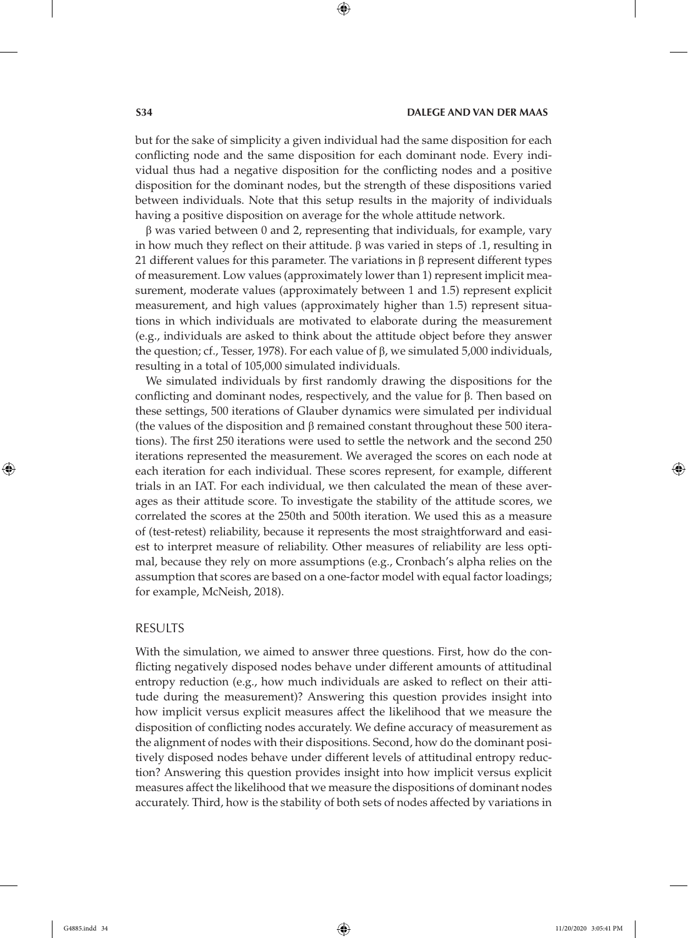but for the sake of simplicity a given individual had the same disposition for each conflicting node and the same disposition for each dominant node. Every individual thus had a negative disposition for the conflicting nodes and a positive disposition for the dominant nodes, but the strength of these dispositions varied between individuals. Note that this setup results in the majority of individuals having a positive disposition on average for the whole attitude network.

 $β$  was varied between 0 and 2, representing that individuals, for example, vary in how much they reflect on their attitude. β was varied in steps of .1, resulting in 21 different values for this parameter. The variations in β represent different types of measurement. Low values (approximately lower than 1) represent implicit measurement, moderate values (approximately between 1 and 1.5) represent explicit measurement, and high values (approximately higher than 1.5) represent situations in which individuals are motivated to elaborate during the measurement (e.g., individuals are asked to think about the attitude object before they answer the question; cf., Tesser, 1978). For each value of  $β$ , we simulated 5,000 individuals, resulting in a total of 105,000 simulated individuals.

We simulated individuals by first randomly drawing the dispositions for the conflicting and dominant nodes, respectively, and the value for β. Then based on these settings, 500 iterations of Glauber dynamics were simulated per individual (the values of the disposition and β remained constant throughout these 500 iterations). The first 250 iterations were used to settle the network and the second 250 iterations represented the measurement. We averaged the scores on each node at each iteration for each individual. These scores represent, for example, different trials in an IAT. For each individual, we then calculated the mean of these averages as their attitude score. To investigate the stability of the attitude scores, we correlated the scores at the 250th and 500th iteration. We used this as a measure of (test-retest) reliability, because it represents the most straightforward and easiest to interpret measure of reliability. Other measures of reliability are less optimal, because they rely on more assumptions (e.g., Cronbach's alpha relies on the assumption that scores are based on a one-factor model with equal factor loadings; for example, McNeish, 2018).

#### RESULTS

With the simulation, we aimed to answer three questions. First, how do the conflicting negatively disposed nodes behave under different amounts of attitudinal entropy reduction (e.g., how much individuals are asked to reflect on their attitude during the measurement)? Answering this question provides insight into how implicit versus explicit measures affect the likelihood that we measure the disposition of conflicting nodes accurately. We define accuracy of measurement as the alignment of nodes with their dispositions. Second, how do the dominant positively disposed nodes behave under different levels of attitudinal entropy reduction? Answering this question provides insight into how implicit versus explicit measures affect the likelihood that we measure the dispositions of dominant nodes accurately. Third, how is the stability of both sets of nodes affected by variations in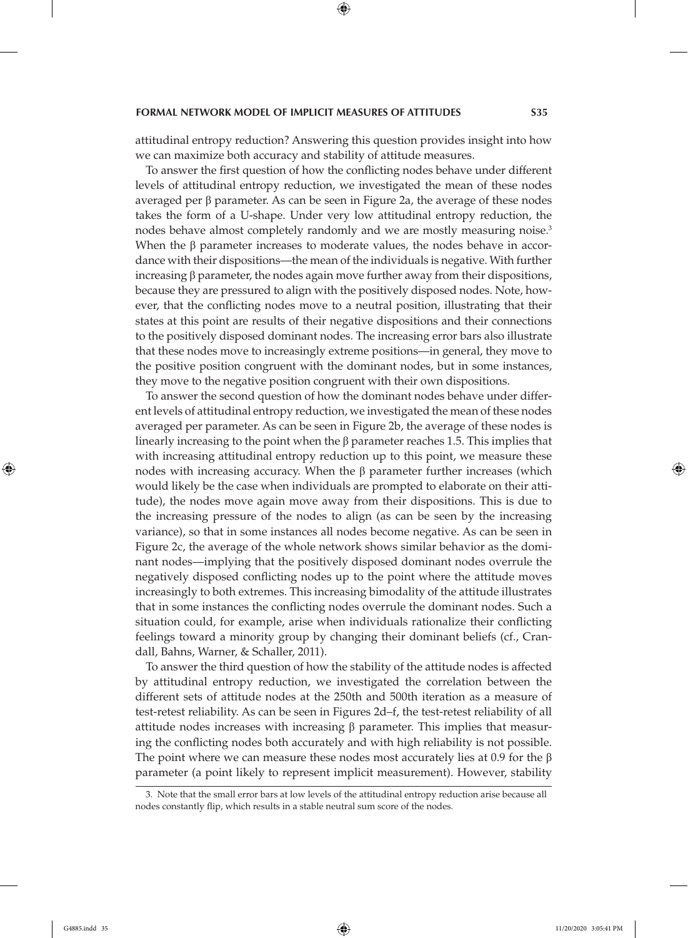attitudinal entropy reduction? Answering this question provides insight into how we can maximize both accuracy and stability of attitude measures.

To answer the first question of how the conflicting nodes behave under different levels of attitudinal entropy reduction, we investigated the mean of these nodes averaged per β parameter. As can be seen in Figure 2a, the average of these nodes takes the form of a U-shape. Under very low attitudinal entropy reduction, the nodes behave almost completely randomly and we are mostly measuring noise.<sup>3</sup> When the  $\beta$  parameter increases to moderate values, the nodes behave in accordance with their dispositions—the mean of the individuals is negative. With further increasing β parameter, the nodes again move further away from their dispositions, because they are pressured to align with the positively disposed nodes. Note, however, that the conflicting nodes move to a neutral position, illustrating that their states at this point are results of their negative dispositions and their connections to the positively disposed dominant nodes. The increasing error bars also illustrate that these nodes move to increasingly extreme positions—in general, they move to the positive position congruent with the dominant nodes, but in some instances, they move to the negative position congruent with their own dispositions.

To answer the second question of how the dominant nodes behave under different levels of attitudinal entropy reduction, we investigated the mean of these nodes averaged per parameter. As can be seen in Figure 2b, the average of these nodes is linearly increasing to the point when the β parameter reaches 1.5. This implies that with increasing attitudinal entropy reduction up to this point, we measure these nodes with increasing accuracy. When the  $β$  parameter further increases (which would likely be the case when individuals are prompted to elaborate on their attitude), the nodes move again move away from their dispositions. This is due to the increasing pressure of the nodes to align (as can be seen by the increasing variance), so that in some instances all nodes become negative. As can be seen in Figure 2c, the average of the whole network shows similar behavior as the dominant nodes—implying that the positively disposed dominant nodes overrule the negatively disposed conflicting nodes up to the point where the attitude moves increasingly to both extremes. This increasing bimodality of the attitude illustrates that in some instances the conflicting nodes overrule the dominant nodes. Such a situation could, for example, arise when individuals rationalize their conflicting feelings toward a minority group by changing their dominant beliefs (cf., Crandall, Bahns, Warner, & Schaller, 2011).

To answer the third question of how the stability of the attitude nodes is affected by attitudinal entropy reduction, we investigated the correlation between the different sets of attitude nodes at the 250th and 500th iteration as a measure of test-retest reliability. As can be seen in Figures 2d–f, the test-retest reliability of all attitude nodes increases with increasing  $\beta$  parameter. This implies that measuring the conflicting nodes both accurately and with high reliability is not possible. The point where we can measure these nodes most accurately lies at 0.9 for the  $\beta$ parameter (a point likely to represent implicit measurement). However, stability

<sup>3.</sup> Note that the small error bars at low levels of the attitudinal entropy reduction arise because all nodes constantly flip, which results in a stable neutral sum score of the nodes.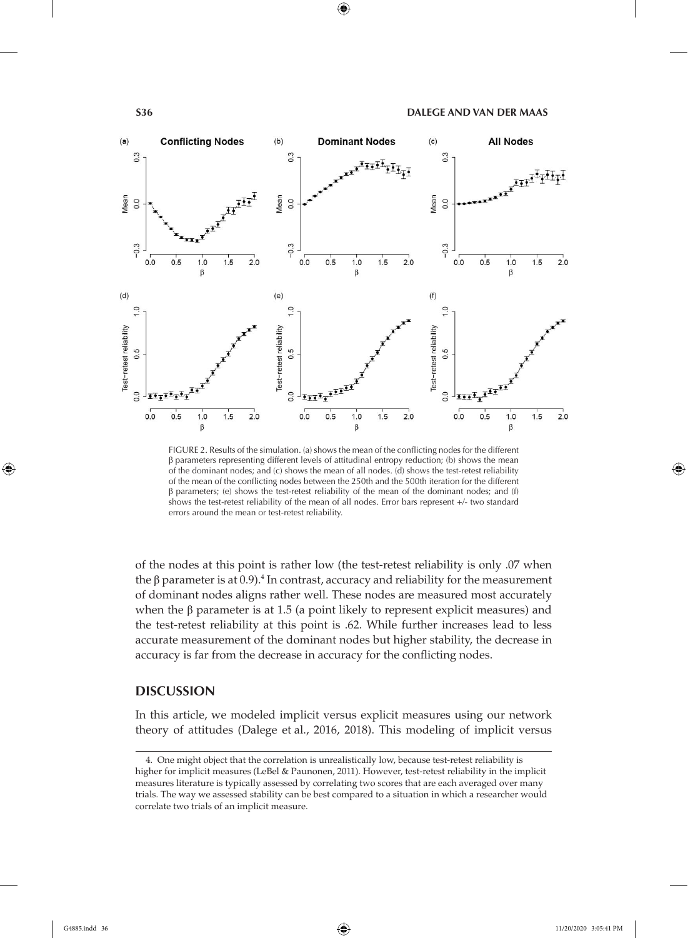

FIGURE 2. Results of the simulation. (a) shows the mean of the conflicting nodes for the different  $β$  parameters representing different levels of attitudinal entropy reduction; (b) shows the mean of the dominant nodes; and (c) shows the mean of all nodes. (d) shows the test-retest reliability of the mean of the conflicting nodes between the 250th and the 500th iteration for the different β parameters; (e) shows the test-retest reliability of the mean of the dominant nodes; and (f) shows the test-retest reliability of the mean of all nodes. Error bars represent +/- two standard errors around the mean or test-retest reliability.

of the nodes at this point is rather low (the test-retest reliability is only .07 when the β parameter is at 0.9).<sup>4</sup> In contrast, accuracy and reliability for the measurement of dominant nodes aligns rather well. These nodes are measured most accurately when the β parameter is at 1.5 (a point likely to represent explicit measures) and the test-retest reliability at this point is .62. While further increases lead to less accurate measurement of the dominant nodes but higher stability, the decrease in accuracy is far from the decrease in accuracy for the conflicting nodes.

### **DISCUSSION**

In this article, we modeled implicit versus explicit measures using our network theory of attitudes (Dalege et al., 2016, 2018). This modeling of implicit versus

<sup>4.</sup> One might object that the correlation is unrealistically low, because test-retest reliability is higher for implicit measures (LeBel & Paunonen, 2011). However, test-retest reliability in the implicit measures literature is typically assessed by correlating two scores that are each averaged over many trials. The way we assessed stability can be best compared to a situation in which a researcher would correlate two trials of an implicit measure.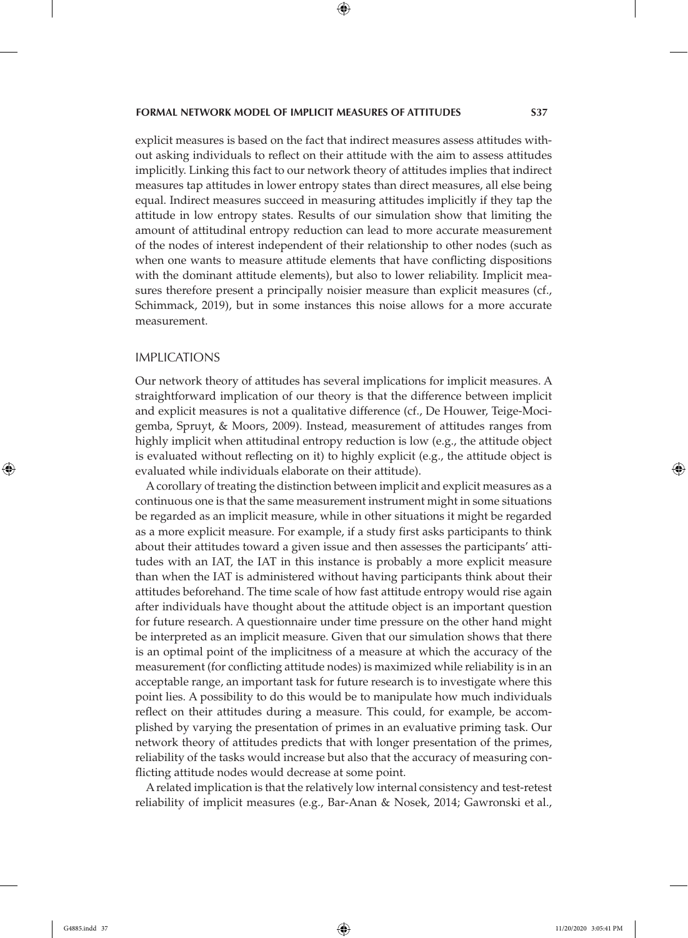explicit measures is based on the fact that indirect measures assess attitudes without asking individuals to reflect on their attitude with the aim to assess attitudes implicitly. Linking this fact to our network theory of attitudes implies that indirect measures tap attitudes in lower entropy states than direct measures, all else being equal. Indirect measures succeed in measuring attitudes implicitly if they tap the attitude in low entropy states. Results of our simulation show that limiting the amount of attitudinal entropy reduction can lead to more accurate measurement of the nodes of interest independent of their relationship to other nodes (such as when one wants to measure attitude elements that have conflicting dispositions with the dominant attitude elements), but also to lower reliability. Implicit measures therefore present a principally noisier measure than explicit measures (cf., Schimmack, 2019), but in some instances this noise allows for a more accurate measurement.

#### IMPLICATIONS

Our network theory of attitudes has several implications for implicit measures. A straightforward implication of our theory is that the difference between implicit and explicit measures is not a qualitative difference (cf., De Houwer, Teige-Mocigemba, Spruyt, & Moors, 2009). Instead, measurement of attitudes ranges from highly implicit when attitudinal entropy reduction is low (e.g., the attitude object is evaluated without reflecting on it) to highly explicit (e.g., the attitude object is evaluated while individuals elaborate on their attitude).

A corollary of treating the distinction between implicit and explicit measures as a continuous one is that the same measurement instrument might in some situations be regarded as an implicit measure, while in other situations it might be regarded as a more explicit measure. For example, if a study first asks participants to think about their attitudes toward a given issue and then assesses the participants' attitudes with an IAT, the IAT in this instance is probably a more explicit measure than when the IAT is administered without having participants think about their attitudes beforehand. The time scale of how fast attitude entropy would rise again after individuals have thought about the attitude object is an important question for future research. A questionnaire under time pressure on the other hand might be interpreted as an implicit measure. Given that our simulation shows that there is an optimal point of the implicitness of a measure at which the accuracy of the measurement (for conflicting attitude nodes) is maximized while reliability is in an acceptable range, an important task for future research is to investigate where this point lies. A possibility to do this would be to manipulate how much individuals reflect on their attitudes during a measure. This could, for example, be accomplished by varying the presentation of primes in an evaluative priming task. Our network theory of attitudes predicts that with longer presentation of the primes, reliability of the tasks would increase but also that the accuracy of measuring conflicting attitude nodes would decrease at some point.

A related implication is that the relatively low internal consistency and test-retest reliability of implicit measures (e.g., Bar-Anan & Nosek, 2014; Gawronski et al.,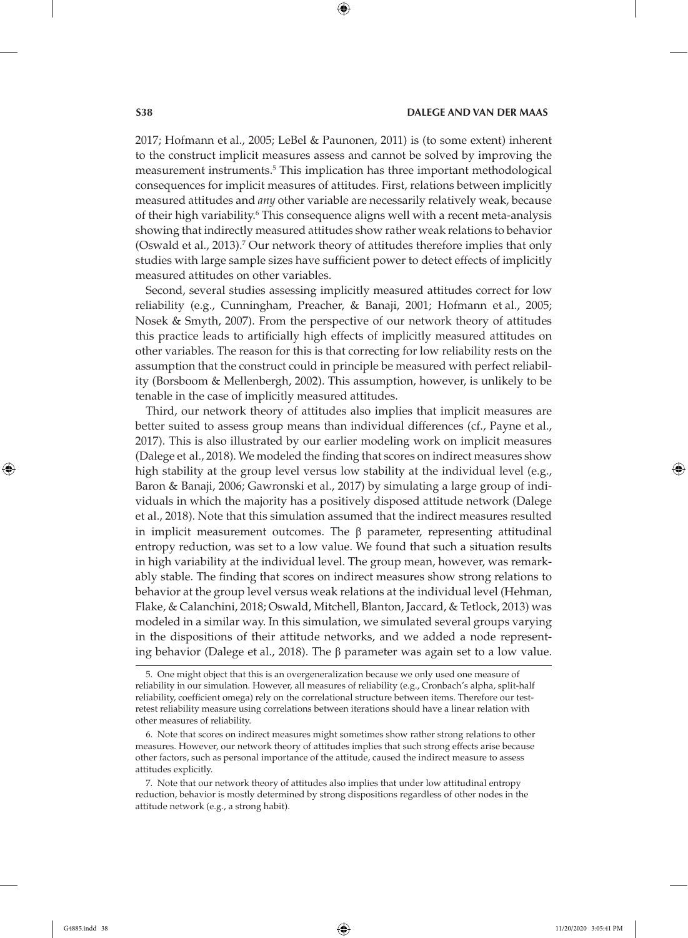2017; Hofmann et al., 2005; LeBel & Paunonen, 2011) is (to some extent) inherent to the construct implicit measures assess and cannot be solved by improving the measurement instruments.5 This implication has three important methodological consequences for implicit measures of attitudes. First, relations between implicitly measured attitudes and *any* other variable are necessarily relatively weak, because of their high variability.<sup>6</sup> This consequence aligns well with a recent meta-analysis showing that indirectly measured attitudes show rather weak relations to behavior (Oswald et al., 2013).<sup>7</sup> Our network theory of attitudes therefore implies that only studies with large sample sizes have sufficient power to detect effects of implicitly measured attitudes on other variables.

Second, several studies assessing implicitly measured attitudes correct for low reliability (e.g., Cunningham, Preacher, & Banaji, 2001; Hofmann et al., 2005; Nosek & Smyth, 2007). From the perspective of our network theory of attitudes this practice leads to artificially high effects of implicitly measured attitudes on other variables. The reason for this is that correcting for low reliability rests on the assumption that the construct could in principle be measured with perfect reliability (Borsboom & Mellenbergh, 2002). This assumption, however, is unlikely to be tenable in the case of implicitly measured attitudes.

Third, our network theory of attitudes also implies that implicit measures are better suited to assess group means than individual differences (cf., Payne et al., 2017). This is also illustrated by our earlier modeling work on implicit measures (Dalege et al., 2018). We modeled the finding that scores on indirect measures show high stability at the group level versus low stability at the individual level (e.g., Baron & Banaji, 2006; Gawronski et al., 2017) by simulating a large group of individuals in which the majority has a positively disposed attitude network (Dalege et al., 2018). Note that this simulation assumed that the indirect measures resulted in implicit measurement outcomes. The  $\beta$  parameter, representing attitudinal entropy reduction, was set to a low value. We found that such a situation results in high variability at the individual level. The group mean, however, was remarkably stable. The finding that scores on indirect measures show strong relations to behavior at the group level versus weak relations at the individual level (Hehman, Flake, & Calanchini, 2018; Oswald, Mitchell, Blanton, Jaccard, & Tetlock, 2013) was modeled in a similar way. In this simulation, we simulated several groups varying in the dispositions of their attitude networks, and we added a node representing behavior (Dalege et al., 2018). The β parameter was again set to a low value.

<sup>5.</sup> One might object that this is an overgeneralization because we only used one measure of reliability in our simulation. However, all measures of reliability (e.g., Cronbach's alpha, split-half reliability, coefficient omega) rely on the correlational structure between items. Therefore our testretest reliability measure using correlations between iterations should have a linear relation with other measures of reliability.

<sup>6.</sup> Note that scores on indirect measures might sometimes show rather strong relations to other measures. However, our network theory of attitudes implies that such strong effects arise because other factors, such as personal importance of the attitude, caused the indirect measure to assess attitudes explicitly.

<sup>7.</sup> Note that our network theory of attitudes also implies that under low attitudinal entropy reduction, behavior is mostly determined by strong dispositions regardless of other nodes in the attitude network (e.g., a strong habit).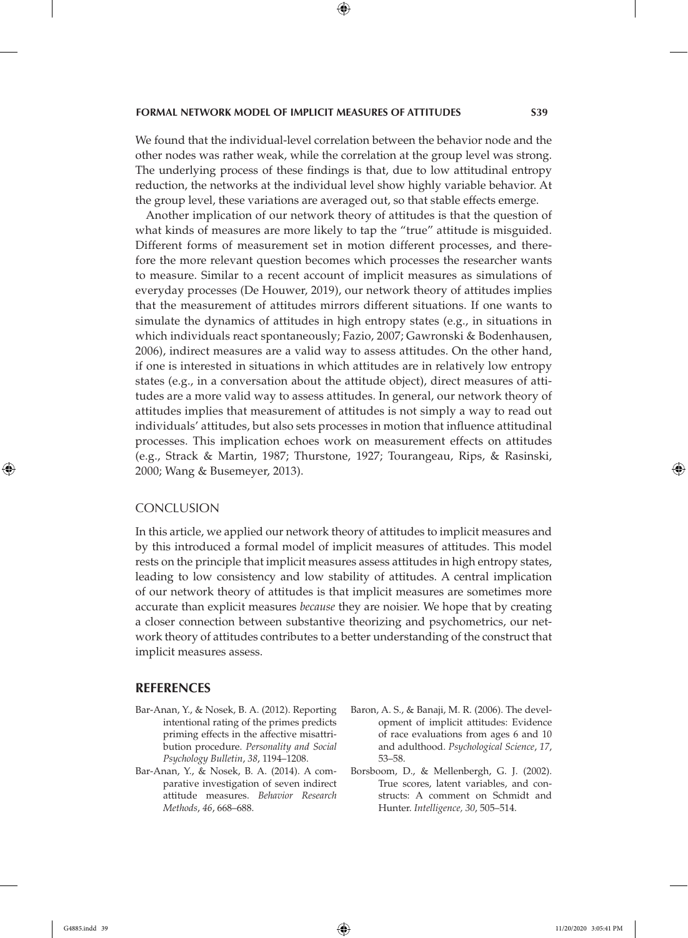We found that the individual-level correlation between the behavior node and the other nodes was rather weak, while the correlation at the group level was strong. The underlying process of these findings is that, due to low attitudinal entropy reduction, the networks at the individual level show highly variable behavior. At the group level, these variations are averaged out, so that stable effects emerge.

Another implication of our network theory of attitudes is that the question of what kinds of measures are more likely to tap the "true" attitude is misguided. Different forms of measurement set in motion different processes, and therefore the more relevant question becomes which processes the researcher wants to measure. Similar to a recent account of implicit measures as simulations of everyday processes (De Houwer, 2019), our network theory of attitudes implies that the measurement of attitudes mirrors different situations. If one wants to simulate the dynamics of attitudes in high entropy states (e.g., in situations in which individuals react spontaneously; Fazio, 2007; Gawronski & Bodenhausen, 2006), indirect measures are a valid way to assess attitudes. On the other hand, if one is interested in situations in which attitudes are in relatively low entropy states (e.g., in a conversation about the attitude object), direct measures of attitudes are a more valid way to assess attitudes. In general, our network theory of attitudes implies that measurement of attitudes is not simply a way to read out individuals' attitudes, but also sets processes in motion that influence attitudinal processes. This implication echoes work on measurement effects on attitudes (e.g., Strack & Martin, 1987; Thurstone, 1927; Tourangeau, Rips, & Rasinski, 2000; Wang & Busemeyer, 2013).

#### **CONCLUSION**

In this article, we applied our network theory of attitudes to implicit measures and by this introduced a formal model of implicit measures of attitudes. This model rests on the principle that implicit measures assess attitudes in high entropy states, leading to low consistency and low stability of attitudes. A central implication of our network theory of attitudes is that implicit measures are sometimes more accurate than explicit measures *because* they are noisier. We hope that by creating a closer connection between substantive theorizing and psychometrics, our network theory of attitudes contributes to a better understanding of the construct that implicit measures assess.

#### **REFERENCES**

- Bar-Anan, Y., & Nosek, B. A. (2012). Reporting intentional rating of the primes predicts priming effects in the affective misattribution procedure. *Personality and Social Psychology Bulletin*, *38*, 1194–1208.
- Bar-Anan, Y., & Nosek, B. A. (2014). A comparative investigation of seven indirect attitude measures. *Behavior Research Methods*, *46*, 668–688.
- Baron, A. S., & Banaji, M. R. (2006). The development of implicit attitudes: Evidence of race evaluations from ages 6 and 10 and adulthood. *Psychological Science*, *17*, 53–58.
- Borsboom, D., & Mellenbergh, G. J. (2002). True scores, latent variables, and constructs: A comment on Schmidt and Hunter. *Intelligence, 30*, 505–514.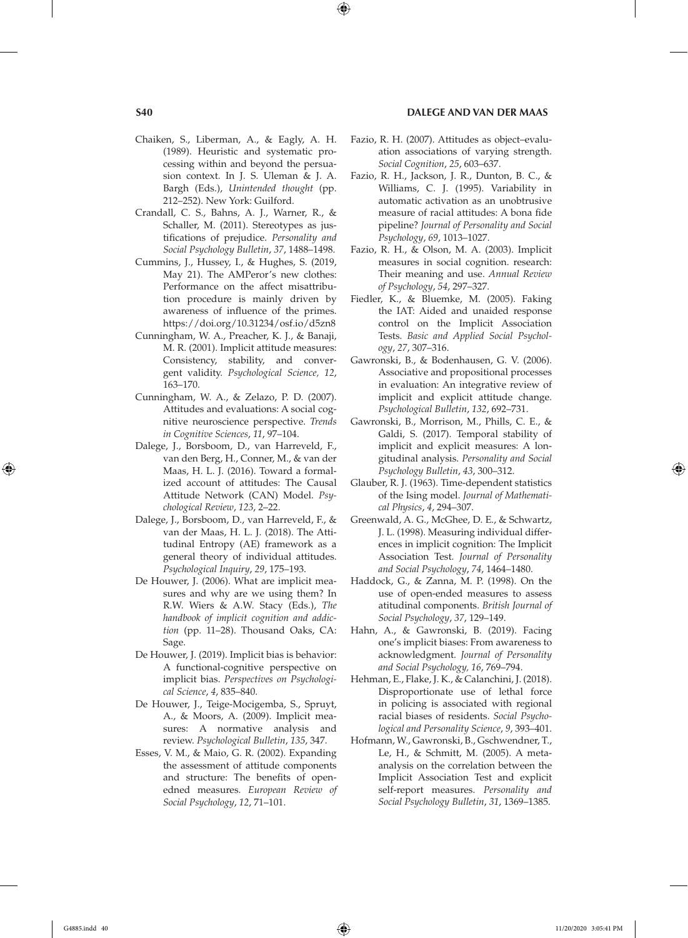#### **S40 DALEGE AND VAN DER MAAS**

- Chaiken, S., Liberman, A., & Eagly, A. H. (1989). Heuristic and systematic processing within and beyond the persuasion context. In J. S. Uleman & J. A. Bargh (Eds.), *Unintended thought* (pp. 212–252). New York: Guilford.
- Crandall, C. S., Bahns, A. J., Warner, R., & Schaller, M. (2011). Stereotypes as justifications of prejudice. *Personality and Social Psychology Bulletin*, *37*, 1488–1498.
- Cummins, J., Hussey, I., & Hughes, S. (2019, May 21). The AMPeror's new clothes: Performance on the affect misattribution procedure is mainly driven by awareness of influence of the primes. https://doi.org/10.31234/osf.io/d5zn8
- Cunningham, W. A., Preacher, K. J., & Banaji, M. R. (2001). Implicit attitude measures: Consistency, stability, and convergent validity. *Psychological Science, 12*, 163–170.
- Cunningham, W. A., & Zelazo, P. D. (2007). Attitudes and evaluations: A social cognitive neuroscience perspective. *Trends in Cognitive Sciences*, *11*, 97–104.
- Dalege, J., Borsboom, D., van Harreveld, F., van den Berg, H., Conner, M., & van der Maas, H. L. J. (2016). Toward a formalized account of attitudes: The Causal Attitude Network (CAN) Model. *Psychological Review*, *123*, 2–22.
- Dalege, J., Borsboom, D., van Harreveld, F., & van der Maas, H. L. J. (2018). The Attitudinal Entropy (AE) framework as a general theory of individual attitudes. *Psychological Inquiry*, *29*, 175–193.
- De Houwer, J. (2006). What are implicit measures and why are we using them? In R.W. Wiers & A.W. Stacy (Eds.), *The handbook of implicit cognition and addiction* (pp. 11–28). Thousand Oaks, CA: Sage.
- De Houwer, J. (2019). Implicit bias is behavior: A functional-cognitive perspective on implicit bias. *Perspectives on Psychological Science*, *4*, 835–840.
- De Houwer, J., Teige-Mocigemba, S., Spruyt, A., & Moors, A. (2009). Implicit measures: A normative analysis and review. *Psychological Bulletin*, *135*, 347.
- Esses, V. M., & Maio, G. R. (2002). Expanding the assessment of attitude components and structure: The benefits of openedned measures. *European Review of Social Psychology*, *12*, 71–101.
- Fazio, R. H. (2007). Attitudes as object–evaluation associations of varying strength. *Social Cognition*, *25*, 603–637.
- Fazio, R. H., Jackson, J. R., Dunton, B. C., & Williams, C. J. (1995). Variability in automatic activation as an unobtrusive measure of racial attitudes: A bona fide pipeline? *Journal of Personality and Social Psychology*, *69*, 1013–1027.
- Fazio, R. H., & Olson, M. A. (2003). Implicit measures in social cognition. research: Their meaning and use. *Annual Review of Psychology*, *54*, 297–327.
- Fiedler, K., & Bluemke, M. (2005). Faking the IAT: Aided and unaided response control on the Implicit Association Tests. *Basic and Applied Social Psychology*, *27*, 307–316.
- Gawronski, B., & Bodenhausen, G. V. (2006). Associative and propositional processes in evaluation: An integrative review of implicit and explicit attitude change. *Psychological Bulletin*, *132*, 692–731.
- Gawronski, B., Morrison, M., Phills, C. E., & Galdi, S. (2017). Temporal stability of implicit and explicit measures: A longitudinal analysis. *Personality and Social Psychology Bulletin*, *43*, 300–312.
- Glauber, R. J. (1963). Time-dependent statistics of the Ising model. *Journal of Mathematical Physics*, *4*, 294–307.
- Greenwald, A. G., McGhee, D. E., & Schwartz, J. L. (1998). Measuring individual differences in implicit cognition: The Implicit Association Test. *Journal of Personality and Social Psychology*, *74*, 1464–1480.
- Haddock, G., & Zanna, M. P. (1998). On the use of open-ended measures to assess atitudinal components. *British Journal of Social Psychology*, *37*, 129–149.
- Hahn, A., & Gawronski, B. (2019). Facing one's implicit biases: From awareness to acknowledgment. *Journal of Personality and Social Psychology, 16*, 769–794.
- Hehman, E., Flake, J. K., & Calanchini, J. (2018). Disproportionate use of lethal force in policing is associated with regional racial biases of residents. *Social Psychological and Personality Science*, *9*, 393–401.
- Hofmann, W., Gawronski, B., Gschwendner, T., Le, H., & Schmitt, M. (2005). A metaanalysis on the correlation between the Implicit Association Test and explicit self-report measures. *Personality and Social Psychology Bulletin*, *31*, 1369–1385.